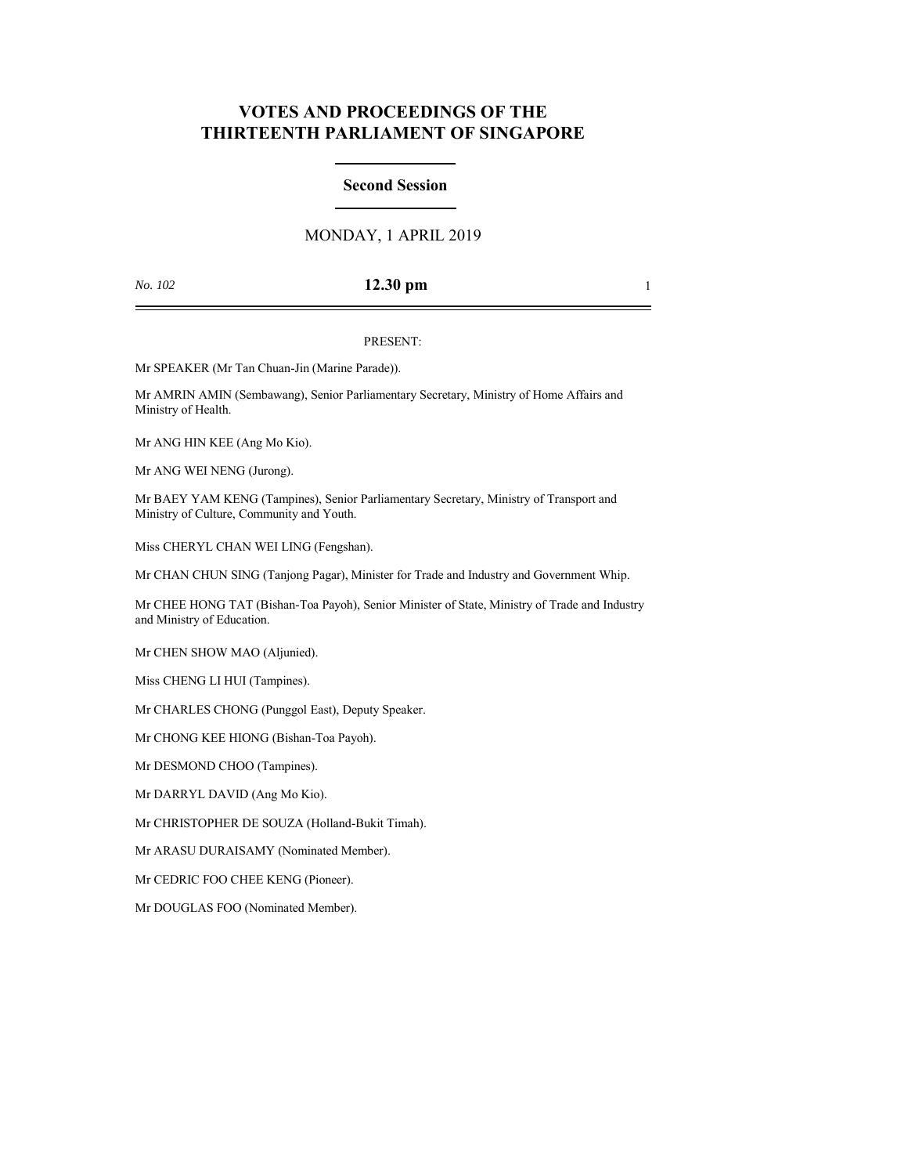# **VOTES AND PROCEEDINGS OF THE THIRTEENTH PARLIAMENT OF SINGAPORE**

### **Second Session**

## MONDAY, 1 APRIL 2019

## *No. 102* **12.30 pm** 1

### PRESENT:

Mr SPEAKER (Mr Tan Chuan-Jin (Marine Parade)).

Mr AMRIN AMIN (Sembawang), Senior Parliamentary Secretary, Ministry of Home Affairs and Ministry of Health.

Mr ANG HIN KEE (Ang Mo Kio).

Mr ANG WEI NENG (Jurong).

Mr BAEY YAM KENG (Tampines), Senior Parliamentary Secretary, Ministry of Transport and Ministry of Culture, Community and Youth.

Miss CHERYL CHAN WEI LING (Fengshan).

Mr CHAN CHUN SING (Tanjong Pagar), Minister for Trade and Industry and Government Whip.

Mr CHEE HONG TAT (Bishan-Toa Payoh), Senior Minister of State, Ministry of Trade and Industry and Ministry of Education.

Mr CHEN SHOW MAO (Aljunied).

Miss CHENG LI HUI (Tampines).

Mr CHARLES CHONG (Punggol East), Deputy Speaker.

Mr CHONG KEE HIONG (Bishan-Toa Payoh).

Mr DESMOND CHOO (Tampines).

Mr DARRYL DAVID (Ang Mo Kio).

Mr CHRISTOPHER DE SOUZA (Holland-Bukit Timah).

Mr ARASU DURAISAMY (Nominated Member).

Mr CEDRIC FOO CHEE KENG (Pioneer).

Mr DOUGLAS FOO (Nominated Member).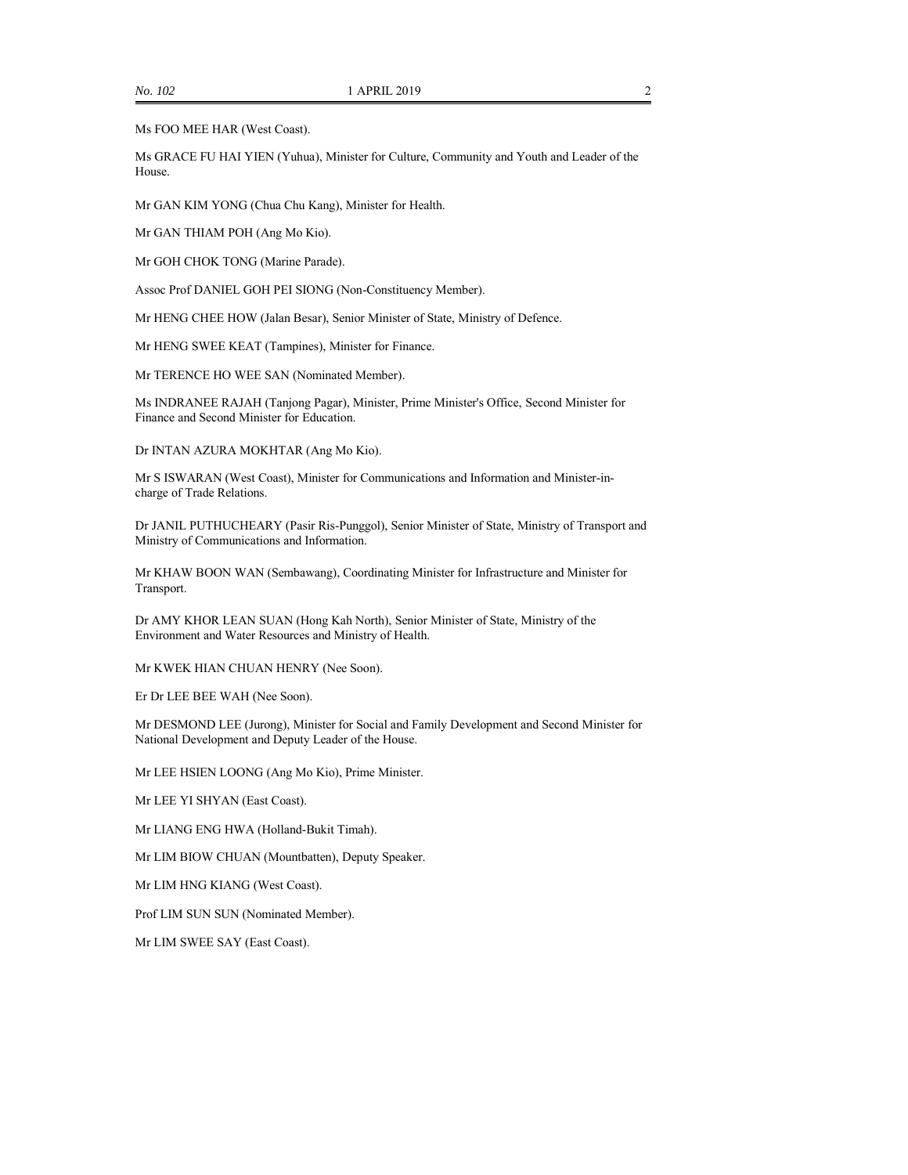Ms FOO MEE HAR (West Coast).

Ms GRACE FU HAI YIEN (Yuhua), Minister for Culture, Community and Youth and Leader of the House.

Mr GAN KIM YONG (Chua Chu Kang), Minister for Health.

Mr GAN THIAM POH (Ang Mo Kio).

Mr GOH CHOK TONG (Marine Parade).

Assoc Prof DANIEL GOH PEI SIONG (Non-Constituency Member).

Mr HENG CHEE HOW (Jalan Besar), Senior Minister of State, Ministry of Defence.

Mr HENG SWEE KEAT (Tampines), Minister for Finance.

Mr TERENCE HO WEE SAN (Nominated Member).

Ms INDRANEE RAJAH (Tanjong Pagar), Minister, Prime Minister's Office, Second Minister for Finance and Second Minister for Education.

Dr INTAN AZURA MOKHTAR (Ang Mo Kio).

Mr S ISWARAN (West Coast), Minister for Communications and Information and Minister-incharge of Trade Relations.

Dr JANIL PUTHUCHEARY (Pasir Ris-Punggol), Senior Minister of State, Ministry of Transport and Ministry of Communications and Information.

Mr KHAW BOON WAN (Sembawang), Coordinating Minister for Infrastructure and Minister for Transport.

Dr AMY KHOR LEAN SUAN (Hong Kah North), Senior Minister of State, Ministry of the Environment and Water Resources and Ministry of Health.

Mr KWEK HIAN CHUAN HENRY (Nee Soon).

Er Dr LEE BEE WAH (Nee Soon).

Mr DESMOND LEE (Jurong), Minister for Social and Family Development and Second Minister for National Development and Deputy Leader of the House.

Mr LEE HSIEN LOONG (Ang Mo Kio), Prime Minister.

Mr LEE YI SHYAN (East Coast).

Mr LIANG ENG HWA (Holland-Bukit Timah).

Mr LIM BIOW CHUAN (Mountbatten), Deputy Speaker.

Mr LIM HNG KIANG (West Coast).

Prof LIM SUN SUN (Nominated Member).

Mr LIM SWEE SAY (East Coast).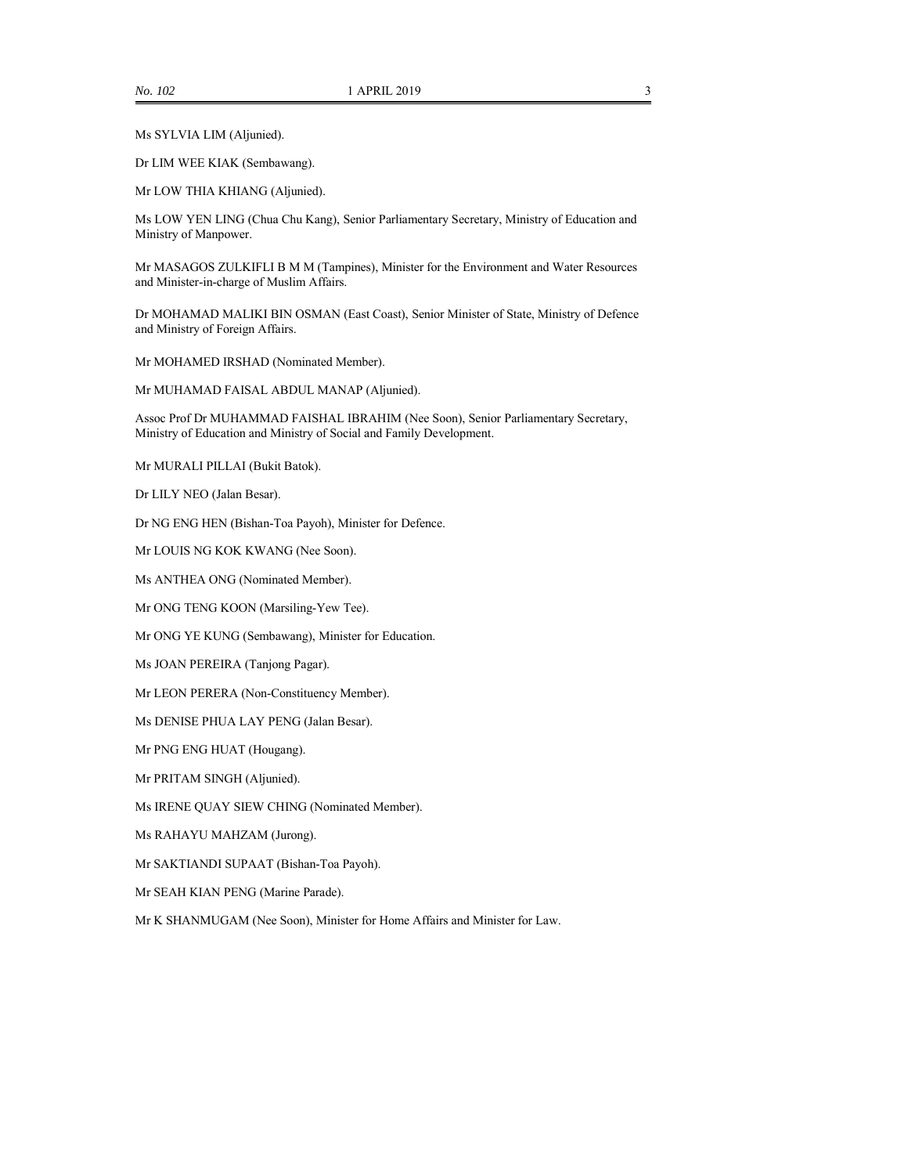Ms SYLVIA LIM (Aljunied).

Dr LIM WEE KIAK (Sembawang).

Mr LOW THIA KHIANG (Aljunied).

Ms LOW YEN LING (Chua Chu Kang), Senior Parliamentary Secretary, Ministry of Education and Ministry of Manpower.

Mr MASAGOS ZULKIFLI B M M (Tampines), Minister for the Environment and Water Resources and Minister-in-charge of Muslim Affairs.

Dr MOHAMAD MALIKI BIN OSMAN (East Coast), Senior Minister of State, Ministry of Defence and Ministry of Foreign Affairs.

Mr MOHAMED IRSHAD (Nominated Member).

Mr MUHAMAD FAISAL ABDUL MANAP (Aljunied).

Assoc Prof Dr MUHAMMAD FAISHAL IBRAHIM (Nee Soon), Senior Parliamentary Secretary, Ministry of Education and Ministry of Social and Family Development.

Mr MURALI PILLAI (Bukit Batok).

Dr LILY NEO (Jalan Besar).

Dr NG ENG HEN (Bishan-Toa Payoh), Minister for Defence.

Mr LOUIS NG KOK KWANG (Nee Soon).

Ms ANTHEA ONG (Nominated Member).

Mr ONG TENG KOON (Marsiling-Yew Tee).

Mr ONG YE KUNG (Sembawang), Minister for Education.

Ms JOAN PEREIRA (Tanjong Pagar).

Mr LEON PERERA (Non-Constituency Member).

Ms DENISE PHUA LAY PENG (Jalan Besar).

Mr PNG ENG HUAT (Hougang).

Mr PRITAM SINGH (Aljunied).

Ms IRENE QUAY SIEW CHING (Nominated Member).

Ms RAHAYU MAHZAM (Jurong).

Mr SAKTIANDI SUPAAT (Bishan-Toa Payoh).

Mr SEAH KIAN PENG (Marine Parade).

Mr K SHANMUGAM (Nee Soon), Minister for Home Affairs and Minister for Law.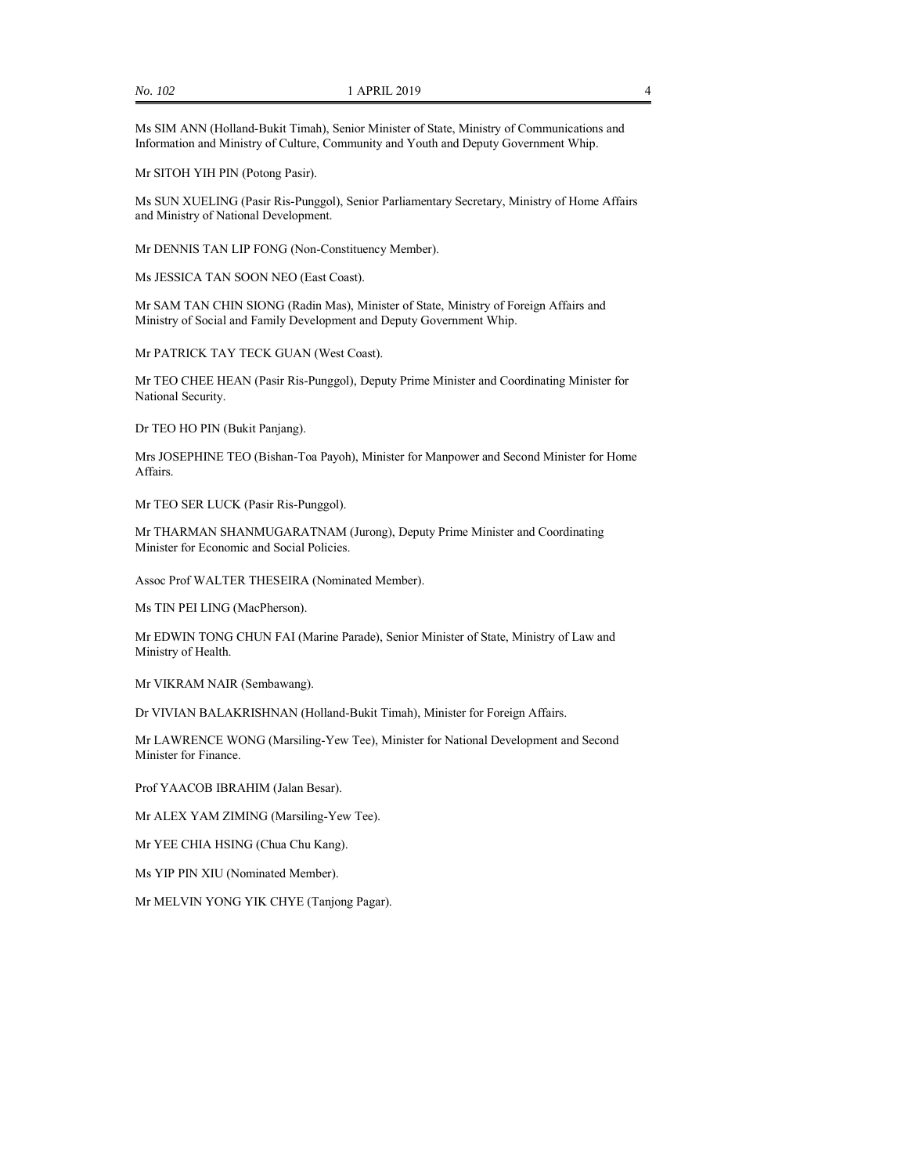Ms SIM ANN (Holland-Bukit Timah), Senior Minister of State, Ministry of Communications and Information and Ministry of Culture, Community and Youth and Deputy Government Whip.

Mr SITOH YIH PIN (Potong Pasir).

Ms SUN XUELING (Pasir Ris-Punggol), Senior Parliamentary Secretary, Ministry of Home Affairs and Ministry of National Development.

Mr DENNIS TAN LIP FONG (Non-Constituency Member).

Ms JESSICA TAN SOON NEO (East Coast).

Mr SAM TAN CHIN SIONG (Radin Mas), Minister of State, Ministry of Foreign Affairs and Ministry of Social and Family Development and Deputy Government Whip.

Mr PATRICK TAY TECK GUAN (West Coast).

Mr TEO CHEE HEAN (Pasir Ris-Punggol), Deputy Prime Minister and Coordinating Minister for National Security.

Dr TEO HO PIN (Bukit Panjang).

Mrs JOSEPHINE TEO (Bishan-Toa Payoh), Minister for Manpower and Second Minister for Home Affairs.

Mr TEO SER LUCK (Pasir Ris-Punggol).

Mr THARMAN SHANMUGARATNAM (Jurong), Deputy Prime Minister and Coordinating Minister for Economic and Social Policies.

Assoc Prof WALTER THESEIRA (Nominated Member).

Ms TIN PEI LING (MacPherson).

Mr EDWIN TONG CHUN FAI (Marine Parade), Senior Minister of State, Ministry of Law and Ministry of Health.

Mr VIKRAM NAIR (Sembawang).

Dr VIVIAN BALAKRISHNAN (Holland-Bukit Timah), Minister for Foreign Affairs.

Mr LAWRENCE WONG (Marsiling-Yew Tee), Minister for National Development and Second Minister for Finance.

Prof YAACOB IBRAHIM (Jalan Besar).

Mr ALEX YAM ZIMING (Marsiling-Yew Tee).

Mr YEE CHIA HSING (Chua Chu Kang).

Ms YIP PIN XIU (Nominated Member).

Mr MELVIN YONG YIK CHYE (Tanjong Pagar).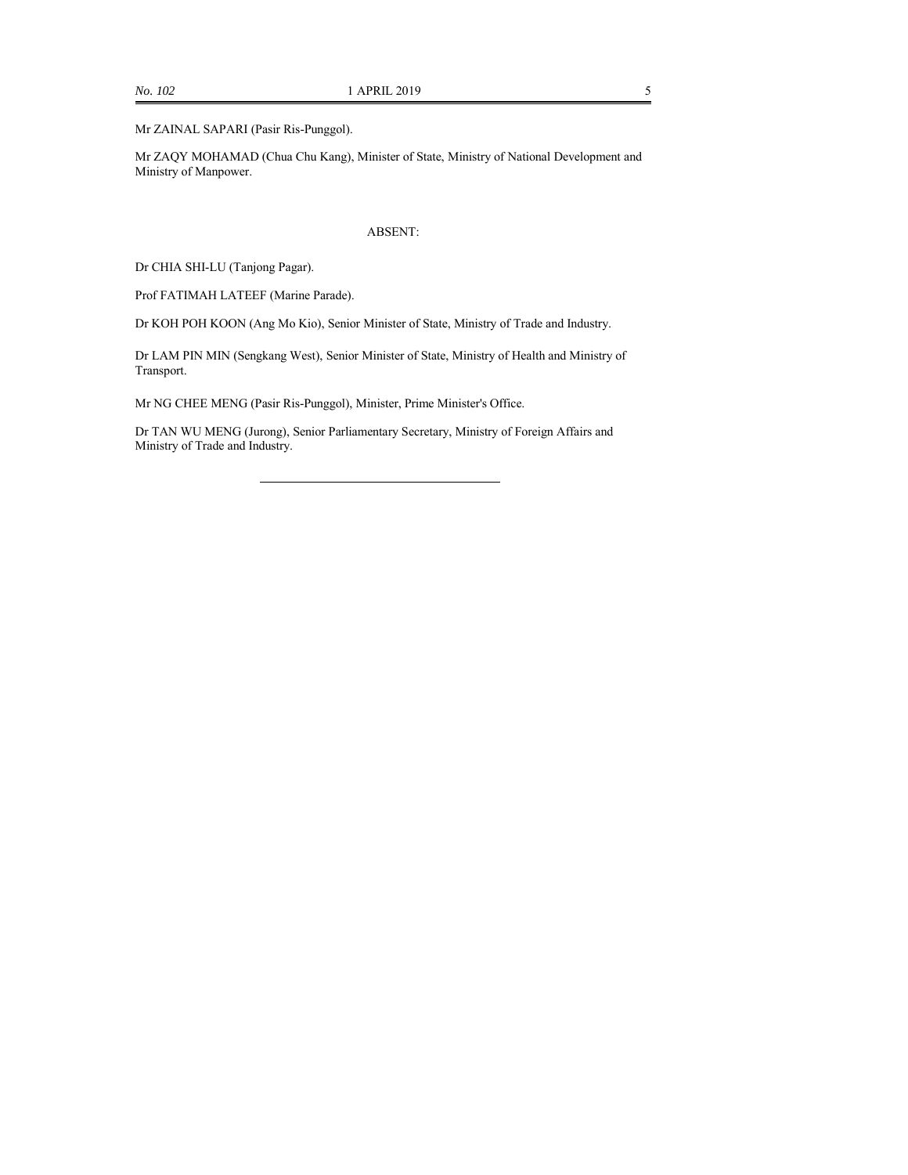Mr ZAQY MOHAMAD (Chua Chu Kang), Minister of State, Ministry of National Development and Ministry of Manpower.

#### ABSENT:

Dr CHIA SHI-LU (Tanjong Pagar).

Prof FATIMAH LATEEF (Marine Parade).

Dr KOH POH KOON (Ang Mo Kio), Senior Minister of State, Ministry of Trade and Industry.

Dr LAM PIN MIN (Sengkang West), Senior Minister of State, Ministry of Health and Ministry of Transport.

Mr NG CHEE MENG (Pasir Ris-Punggol), Minister, Prime Minister's Office.

Dr TAN WU MENG (Jurong), Senior Parliamentary Secretary, Ministry of Foreign Affairs and Ministry of Trade and Industry.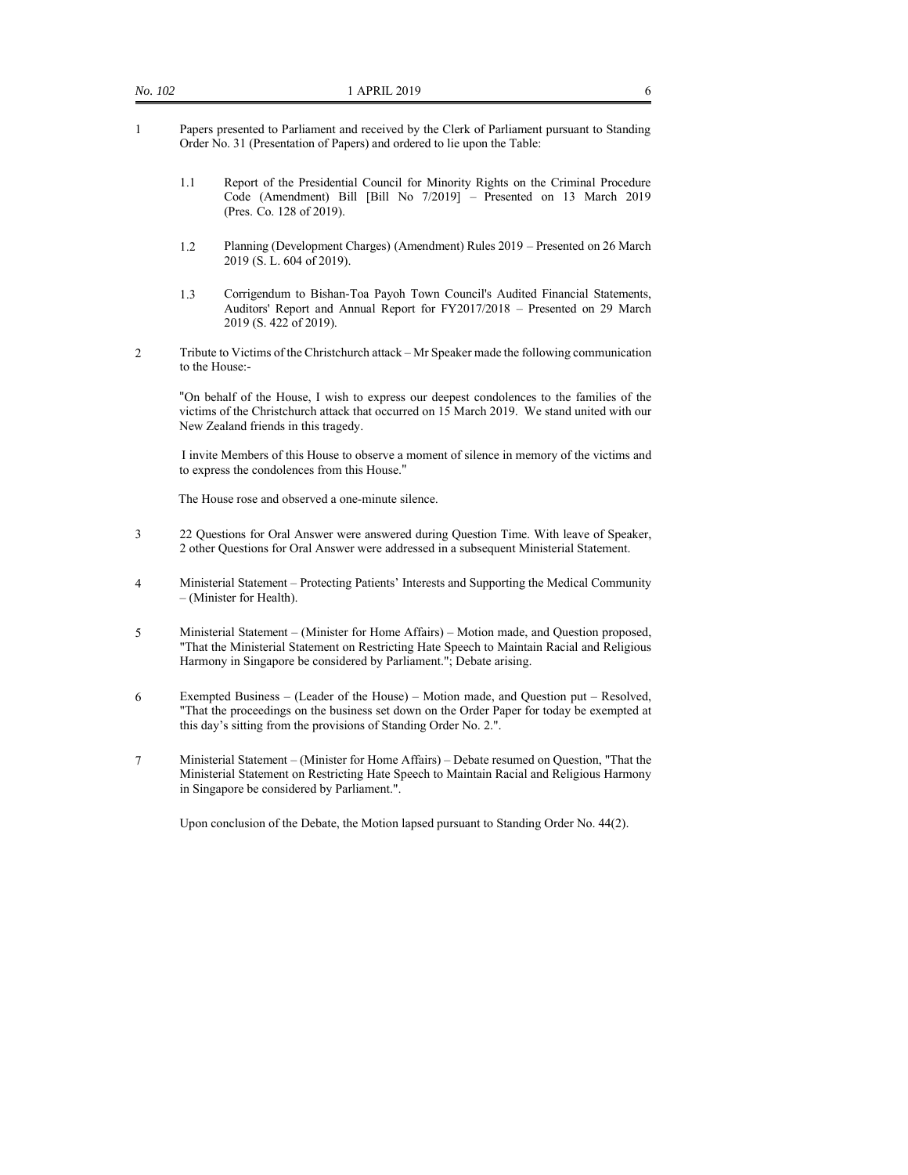- 1 Papers presented to Parliament and received by the Clerk of Parliament pursuant to Standing Order No. 31 (Presentation of Papers) and ordered to lie upon the Table:
	- 1.1 Report of the Presidential Council for Minority Rights on the Criminal Procedure Code (Amendment) Bill [Bill No 7/2019] – Presented on 13 March 2019 (Pres. Co. 128 of 2019).
	- 1.2 Planning (Development Charges) (Amendment) Rules 2019 Presented on 26 March 2019 (S. L. 604 of 2019).
	- 1.3 Corrigendum to Bishan-Toa Payoh Town Council's Audited Financial Statements, Auditors' Report and Annual Report for FY2017/2018 – Presented on 29 March 2019 (S. 422 of 2019).
- 2 Tribute to Victims of the Christchurch attack Mr Speaker made the following communication to the House:-

"On behalf of the House, I wish to express our deepest condolences to the families of the victims of the Christchurch attack that occurred on 15 March 2019. We stand united with our New Zealand friends in this tragedy.

 I invite Members of this House to observe a moment of silence in memory of the victims and to express the condolences from this House."

The House rose and observed a one-minute silence.

- 3 22 Questions for Oral Answer were answered during Question Time. With leave of Speaker, 2 other Questions for Oral Answer were addressed in a subsequent Ministerial Statement.
- 4 Ministerial Statement Protecting Patients' Interests and Supporting the Medical Community – (Minister for Health).
- 5 Ministerial Statement (Minister for Home Affairs) Motion made, and Question proposed, "That the Ministerial Statement on Restricting Hate Speech to Maintain Racial and Religious Harmony in Singapore be considered by Parliament."; Debate arising.
- 6 Exempted Business (Leader of the House) Motion made, and Question put Resolved, "That the proceedings on the business set down on the Order Paper for today be exempted at this day's sitting from the provisions of Standing Order No. 2.".
- 7 Ministerial Statement (Minister for Home Affairs) Debate resumed on Question, "That the Ministerial Statement on Restricting Hate Speech to Maintain Racial and Religious Harmony in Singapore be considered by Parliament.".

Upon conclusion of the Debate, the Motion lapsed pursuant to Standing Order No. 44(2).